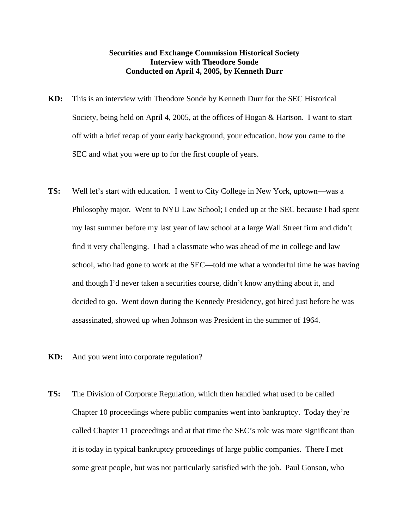## **Securities and Exchange Commission Historical Society Interview with Theodore Sonde Conducted on April 4, 2005, by Kenneth Durr**

- **KD:** This is an interview with Theodore Sonde by Kenneth Durr for the SEC Historical Society, being held on April 4, 2005, at the offices of Hogan & Hartson. I want to start off with a brief recap of your early background, your education, how you came to the SEC and what you were up to for the first couple of years.
- **TS:** Well let's start with education. I went to City College in New York, uptown—was a Philosophy major. Went to NYU Law School; I ended up at the SEC because I had spent my last summer before my last year of law school at a large Wall Street firm and didn't find it very challenging. I had a classmate who was ahead of me in college and law school, who had gone to work at the SEC—told me what a wonderful time he was having and though I'd never taken a securities course, didn't know anything about it, and decided to go. Went down during the Kennedy Presidency, got hired just before he was assassinated, showed up when Johnson was President in the summer of 1964.
- **KD:** And you went into corporate regulation?
- **TS:** The Division of Corporate Regulation, which then handled what used to be called Chapter 10 proceedings where public companies went into bankruptcy. Today they're called Chapter 11 proceedings and at that time the SEC's role was more significant than it is today in typical bankruptcy proceedings of large public companies. There I met some great people, but was not particularly satisfied with the job. Paul Gonson, who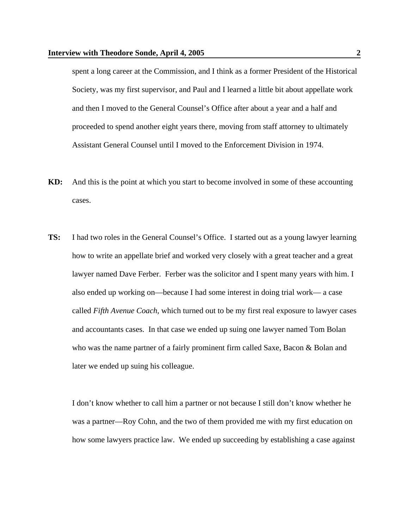spent a long career at the Commission, and I think as a former President of the Historical Society, was my first supervisor, and Paul and I learned a little bit about appellate work and then I moved to the General Counsel's Office after about a year and a half and proceeded to spend another eight years there, moving from staff attorney to ultimately Assistant General Counsel until I moved to the Enforcement Division in 1974.

- **KD:** And this is the point at which you start to become involved in some of these accounting cases.
- **TS:** I had two roles in the General Counsel's Office. I started out as a young lawyer learning how to write an appellate brief and worked very closely with a great teacher and a great lawyer named Dave Ferber. Ferber was the solicitor and I spent many years with him. I also ended up working on—because I had some interest in doing trial work— a case called *Fifth Avenue Coach*, which turned out to be my first real exposure to lawyer cases and accountants cases. In that case we ended up suing one lawyer named Tom Bolan who was the name partner of a fairly prominent firm called Saxe, Bacon & Bolan and later we ended up suing his colleague.

 I don't know whether to call him a partner or not because I still don't know whether he was a partner—Roy Cohn, and the two of them provided me with my first education on how some lawyers practice law. We ended up succeeding by establishing a case against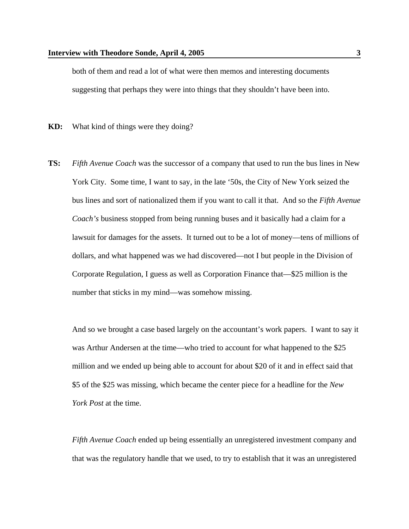both of them and read a lot of what were then memos and interesting documents suggesting that perhaps they were into things that they shouldn't have been into.

**KD:** What kind of things were they doing?

**TS:** *Fifth Avenue Coach* was the successor of a company that used to run the bus lines in New York City. Some time, I want to say, in the late '50s, the City of New York seized the bus lines and sort of nationalized them if you want to call it that. And so the *Fifth Avenue Coach's* business stopped from being running buses and it basically had a claim for a lawsuit for damages for the assets. It turned out to be a lot of money—tens of millions of dollars, and what happened was we had discovered—not I but people in the Division of Corporate Regulation, I guess as well as Corporation Finance that—\$25 million is the number that sticks in my mind—was somehow missing.

 And so we brought a case based largely on the accountant's work papers. I want to say it was Arthur Andersen at the time—who tried to account for what happened to the \$25 million and we ended up being able to account for about \$20 of it and in effect said that \$5 of the \$25 was missing, which became the center piece for a headline for the *New York Post* at the time.

*Fifth Avenue Coach* ended up being essentially an unregistered investment company and that was the regulatory handle that we used, to try to establish that it was an unregistered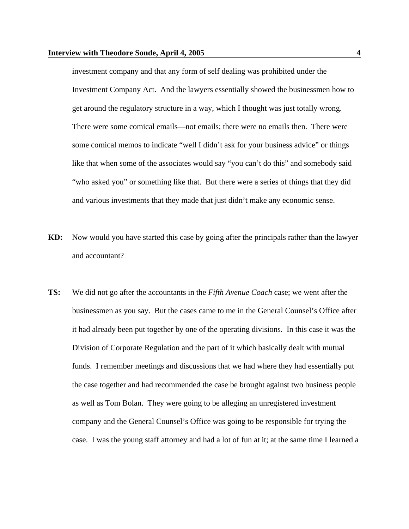investment company and that any form of self dealing was prohibited under the Investment Company Act. And the lawyers essentially showed the businessmen how to get around the regulatory structure in a way, which I thought was just totally wrong. There were some comical emails—not emails; there were no emails then. There were some comical memos to indicate "well I didn't ask for your business advice" or things like that when some of the associates would say "you can't do this" and somebody said "who asked you" or something like that. But there were a series of things that they did and various investments that they made that just didn't make any economic sense.

- **KD:** Now would you have started this case by going after the principals rather than the lawyer and accountant?
- **TS:** We did not go after the accountants in the *Fifth Avenue Coach* case; we went after the businessmen as you say. But the cases came to me in the General Counsel's Office after it had already been put together by one of the operating divisions. In this case it was the Division of Corporate Regulation and the part of it which basically dealt with mutual funds. I remember meetings and discussions that we had where they had essentially put the case together and had recommended the case be brought against two business people as well as Tom Bolan. They were going to be alleging an unregistered investment company and the General Counsel's Office was going to be responsible for trying the case. I was the young staff attorney and had a lot of fun at it; at the same time I learned a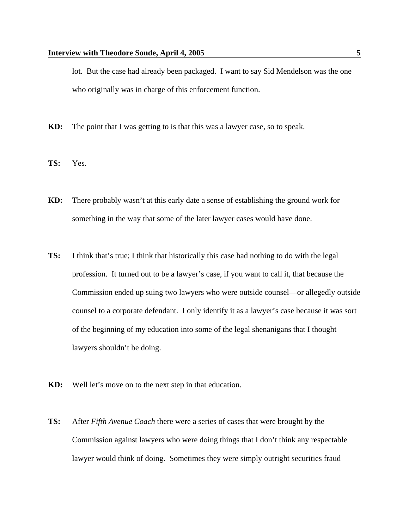lot. But the case had already been packaged. I want to say Sid Mendelson was the one who originally was in charge of this enforcement function.

- **KD:** The point that I was getting to is that this was a lawyer case, so to speak.
- **TS:** Yes.
- **KD:** There probably wasn't at this early date a sense of establishing the ground work for something in the way that some of the later lawyer cases would have done.
- **TS:** I think that's true; I think that historically this case had nothing to do with the legal profession. It turned out to be a lawyer's case, if you want to call it, that because the Commission ended up suing two lawyers who were outside counsel—or allegedly outside counsel to a corporate defendant. I only identify it as a lawyer's case because it was sort of the beginning of my education into some of the legal shenanigans that I thought lawyers shouldn't be doing.
- **KD:** Well let's move on to the next step in that education.
- **TS:** After *Fifth Avenue Coach* there were a series of cases that were brought by the Commission against lawyers who were doing things that I don't think any respectable lawyer would think of doing. Sometimes they were simply outright securities fraud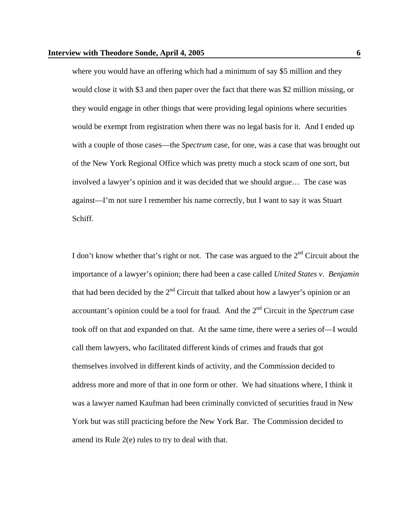where you would have an offering which had a minimum of say \$5 million and they would close it with \$3 and then paper over the fact that there was \$2 million missing, or they would engage in other things that were providing legal opinions where securities would be exempt from registration when there was no legal basis for it. And I ended up with a couple of those cases—the *Spectrum* case, for one, was a case that was brought out of the New York Regional Office which was pretty much a stock scam of one sort, but involved a lawyer's opinion and it was decided that we should argue… The case was against—I'm not sure I remember his name correctly, but I want to say it was Stuart Schiff.

I don't know whether that's right or not. The case was argued to the  $2<sup>nd</sup>$  Circuit about the importance of a lawyer's opinion; there had been a case called *United States v*. *Benjamin* that had been decided by the  $2<sup>nd</sup>$  Circuit that talked about how a lawyer's opinion or an accountant's opinion could be a tool for fraud. And the 2nd Circuit in the *Spectrum* case took off on that and expanded on that. At the same time, there were a series of—I would call them lawyers, who facilitated different kinds of crimes and frauds that got themselves involved in different kinds of activity, and the Commission decided to address more and more of that in one form or other. We had situations where, I think it was a lawyer named Kaufman had been criminally convicted of securities fraud in New York but was still practicing before the New York Bar. The Commission decided to amend its Rule 2(e) rules to try to deal with that.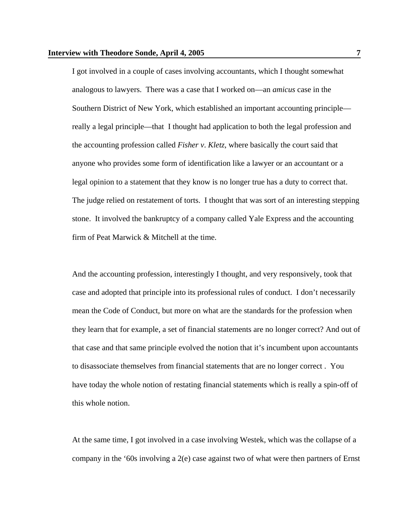I got involved in a couple of cases involving accountants, which I thought somewhat analogous to lawyers. There was a case that I worked on—an *amicus* case in the Southern District of New York, which established an important accounting principle really a legal principle—that I thought had application to both the legal profession and the accounting profession called *Fisher v*. *Kletz*, where basically the court said that anyone who provides some form of identification like a lawyer or an accountant or a legal opinion to a statement that they know is no longer true has a duty to correct that. The judge relied on restatement of torts. I thought that was sort of an interesting stepping stone. It involved the bankruptcy of a company called Yale Express and the accounting firm of Peat Marwick & Mitchell at the time.

 And the accounting profession, interestingly I thought, and very responsively, took that case and adopted that principle into its professional rules of conduct. I don't necessarily mean the Code of Conduct, but more on what are the standards for the profession when they learn that for example, a set of financial statements are no longer correct? And out of that case and that same principle evolved the notion that it's incumbent upon accountants to disassociate themselves from financial statements that are no longer correct . You have today the whole notion of restating financial statements which is really a spin-off of this whole notion.

 At the same time, I got involved in a case involving Westek, which was the collapse of a company in the '60s involving a 2(e) case against two of what were then partners of Ernst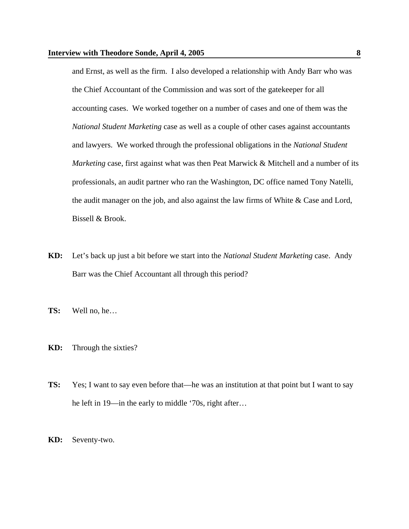and Ernst, as well as the firm. I also developed a relationship with Andy Barr who was the Chief Accountant of the Commission and was sort of the gatekeeper for all accounting cases. We worked together on a number of cases and one of them was the *National Student Marketing* case as well as a couple of other cases against accountants and lawyers. We worked through the professional obligations in the *National Student Marketing* case, first against what was then Peat Marwick & Mitchell and a number of its professionals, an audit partner who ran the Washington, DC office named Tony Natelli, the audit manager on the job, and also against the law firms of White & Case and Lord, Bissell & Brook.

- **KD:** Let's back up just a bit before we start into the *National Student Marketing* case. Andy Barr was the Chief Accountant all through this period?
- **TS:** Well no, he…
- **KD:** Through the sixties?
- **TS:** Yes; I want to say even before that—he was an institution at that point but I want to say he left in 19—in the early to middle '70s, right after…
- **KD:** Seventy-two.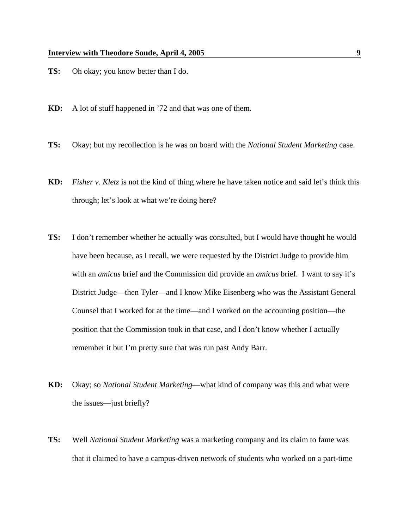- **TS:** Oh okay; you know better than I do.
- **KD:** A lot of stuff happened in '72 and that was one of them.
- **TS:** Okay; but my recollection is he was on board with the *National Student Marketing* case.
- **KD:** *Fisher v*. *Kletz* is not the kind of thing where he have taken notice and said let's think this through; let's look at what we're doing here?
- **TS:** I don't remember whether he actually was consulted, but I would have thought he would have been because, as I recall, we were requested by the District Judge to provide him with an *amicus* brief and the Commission did provide an *amicus* brief. I want to say it's District Judge—then Tyler—and I know Mike Eisenberg who was the Assistant General Counsel that I worked for at the time—and I worked on the accounting position—the position that the Commission took in that case, and I don't know whether I actually remember it but I'm pretty sure that was run past Andy Barr.
- **KD:** Okay; so *National Student Marketing*—what kind of company was this and what were the issues—just briefly?
- **TS:** Well *National Student Marketing* was a marketing company and its claim to fame was that it claimed to have a campus-driven network of students who worked on a part-time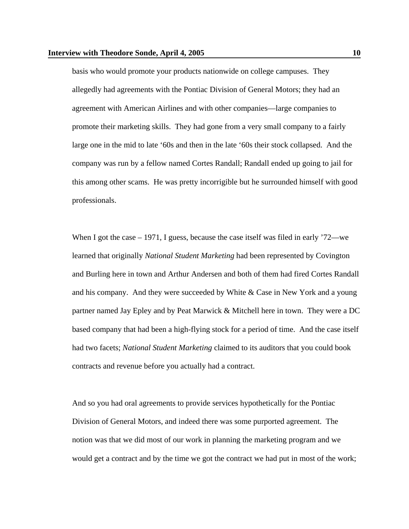basis who would promote your products nationwide on college campuses. They allegedly had agreements with the Pontiac Division of General Motors; they had an agreement with American Airlines and with other companies—large companies to promote their marketing skills. They had gone from a very small company to a fairly large one in the mid to late '60s and then in the late '60s their stock collapsed. And the company was run by a fellow named Cortes Randall; Randall ended up going to jail for this among other scams. He was pretty incorrigible but he surrounded himself with good professionals.

When I got the case – 1971, I guess, because the case itself was filed in early '72—we learned that originally *National Student Marketing* had been represented by Covington and Burling here in town and Arthur Andersen and both of them had fired Cortes Randall and his company. And they were succeeded by White & Case in New York and a young partner named Jay Epley and by Peat Marwick & Mitchell here in town. They were a DC based company that had been a high-flying stock for a period of time. And the case itself had two facets; *National Student Marketing* claimed to its auditors that you could book contracts and revenue before you actually had a contract.

 And so you had oral agreements to provide services hypothetically for the Pontiac Division of General Motors, and indeed there was some purported agreement. The notion was that we did most of our work in planning the marketing program and we would get a contract and by the time we got the contract we had put in most of the work;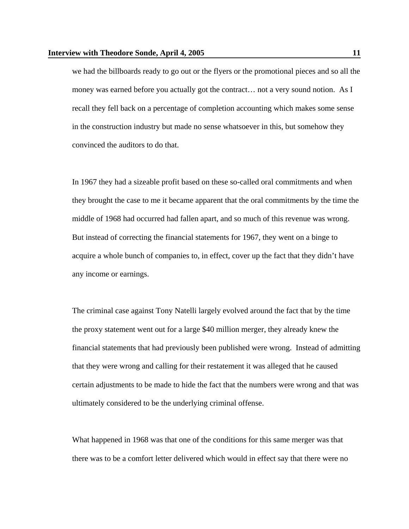we had the billboards ready to go out or the flyers or the promotional pieces and so all the money was earned before you actually got the contract… not a very sound notion. As I recall they fell back on a percentage of completion accounting which makes some sense in the construction industry but made no sense whatsoever in this, but somehow they convinced the auditors to do that.

 In 1967 they had a sizeable profit based on these so-called oral commitments and when they brought the case to me it became apparent that the oral commitments by the time the middle of 1968 had occurred had fallen apart, and so much of this revenue was wrong. But instead of correcting the financial statements for 1967, they went on a binge to acquire a whole bunch of companies to, in effect, cover up the fact that they didn't have any income or earnings.

 The criminal case against Tony Natelli largely evolved around the fact that by the time the proxy statement went out for a large \$40 million merger, they already knew the financial statements that had previously been published were wrong. Instead of admitting that they were wrong and calling for their restatement it was alleged that he caused certain adjustments to be made to hide the fact that the numbers were wrong and that was ultimately considered to be the underlying criminal offense.

 What happened in 1968 was that one of the conditions for this same merger was that there was to be a comfort letter delivered which would in effect say that there were no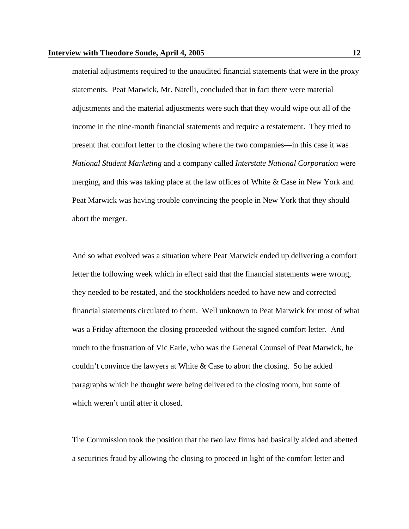material adjustments required to the unaudited financial statements that were in the proxy statements. Peat Marwick, Mr. Natelli, concluded that in fact there were material adjustments and the material adjustments were such that they would wipe out all of the income in the nine-month financial statements and require a restatement. They tried to present that comfort letter to the closing where the two companies—in this case it was *National Student Marketing* and a company called *Interstate National Corporation* were merging, and this was taking place at the law offices of White & Case in New York and Peat Marwick was having trouble convincing the people in New York that they should abort the merger.

 And so what evolved was a situation where Peat Marwick ended up delivering a comfort letter the following week which in effect said that the financial statements were wrong, they needed to be restated, and the stockholders needed to have new and corrected financial statements circulated to them. Well unknown to Peat Marwick for most of what was a Friday afternoon the closing proceeded without the signed comfort letter. And much to the frustration of Vic Earle, who was the General Counsel of Peat Marwick, he couldn't convince the lawyers at White & Case to abort the closing. So he added paragraphs which he thought were being delivered to the closing room, but some of which weren't until after it closed.

 The Commission took the position that the two law firms had basically aided and abetted a securities fraud by allowing the closing to proceed in light of the comfort letter and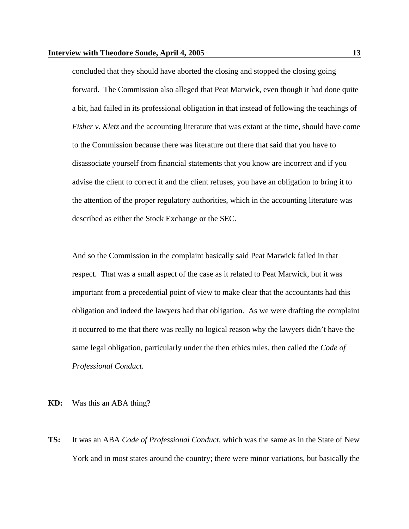concluded that they should have aborted the closing and stopped the closing going forward. The Commission also alleged that Peat Marwick, even though it had done quite a bit, had failed in its professional obligation in that instead of following the teachings of *Fisher v*. *Kletz* and the accounting literature that was extant at the time, should have come to the Commission because there was literature out there that said that you have to disassociate yourself from financial statements that you know are incorrect and if you advise the client to correct it and the client refuses, you have an obligation to bring it to the attention of the proper regulatory authorities, which in the accounting literature was described as either the Stock Exchange or the SEC.

 And so the Commission in the complaint basically said Peat Marwick failed in that respect. That was a small aspect of the case as it related to Peat Marwick, but it was important from a precedential point of view to make clear that the accountants had this obligation and indeed the lawyers had that obligation. As we were drafting the complaint it occurred to me that there was really no logical reason why the lawyers didn't have the same legal obligation, particularly under the then ethics rules, then called the *Code of Professional Conduct.*

**KD:** Was this an ABA thing?

**TS:** It was an ABA *Code of Professional Conduct*, which was the same as in the State of New York and in most states around the country; there were minor variations, but basically the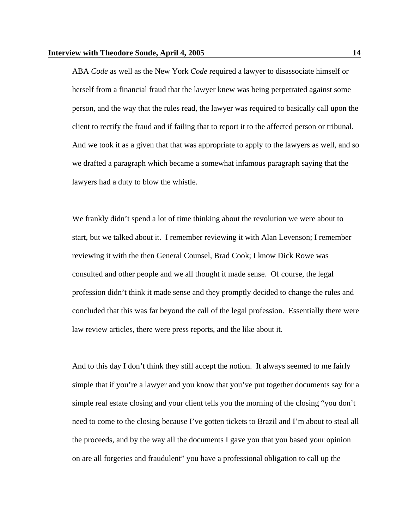ABA *Code* as well as the New York *Code* required a lawyer to disassociate himself or herself from a financial fraud that the lawyer knew was being perpetrated against some person, and the way that the rules read, the lawyer was required to basically call upon the client to rectify the fraud and if failing that to report it to the affected person or tribunal. And we took it as a given that that was appropriate to apply to the lawyers as well, and so we drafted a paragraph which became a somewhat infamous paragraph saying that the lawyers had a duty to blow the whistle.

 We frankly didn't spend a lot of time thinking about the revolution we were about to start, but we talked about it. I remember reviewing it with Alan Levenson; I remember reviewing it with the then General Counsel, Brad Cook; I know Dick Rowe was consulted and other people and we all thought it made sense. Of course, the legal profession didn't think it made sense and they promptly decided to change the rules and concluded that this was far beyond the call of the legal profession. Essentially there were law review articles, there were press reports, and the like about it.

 And to this day I don't think they still accept the notion. It always seemed to me fairly simple that if you're a lawyer and you know that you've put together documents say for a simple real estate closing and your client tells you the morning of the closing "you don't need to come to the closing because I've gotten tickets to Brazil and I'm about to steal all the proceeds, and by the way all the documents I gave you that you based your opinion on are all forgeries and fraudulent" you have a professional obligation to call up the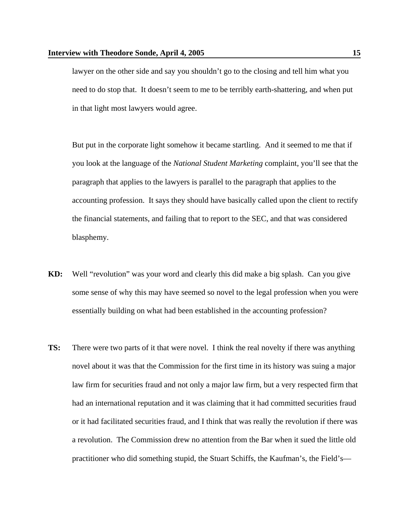lawyer on the other side and say you shouldn't go to the closing and tell him what you need to do stop that. It doesn't seem to me to be terribly earth-shattering, and when put in that light most lawyers would agree.

 But put in the corporate light somehow it became startling. And it seemed to me that if you look at the language of the *National Student Marketing* complaint, you'll see that the paragraph that applies to the lawyers is parallel to the paragraph that applies to the accounting profession. It says they should have basically called upon the client to rectify the financial statements, and failing that to report to the SEC, and that was considered blasphemy.

- **KD:** Well "revolution" was your word and clearly this did make a big splash. Can you give some sense of why this may have seemed so novel to the legal profession when you were essentially building on what had been established in the accounting profession?
- **TS:** There were two parts of it that were novel. I think the real novelty if there was anything novel about it was that the Commission for the first time in its history was suing a major law firm for securities fraud and not only a major law firm, but a very respected firm that had an international reputation and it was claiming that it had committed securities fraud or it had facilitated securities fraud, and I think that was really the revolution if there was a revolution. The Commission drew no attention from the Bar when it sued the little old practitioner who did something stupid, the Stuart Schiffs, the Kaufman's, the Field's—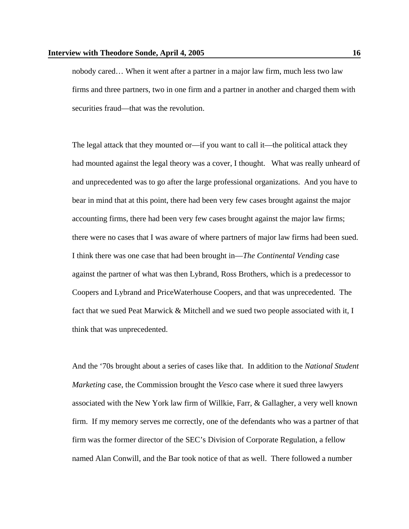nobody cared… When it went after a partner in a major law firm, much less two law firms and three partners, two in one firm and a partner in another and charged them with securities fraud—that was the revolution.

 The legal attack that they mounted or—if you want to call it—the political attack they had mounted against the legal theory was a cover, I thought. What was really unheard of and unprecedented was to go after the large professional organizations. And you have to bear in mind that at this point, there had been very few cases brought against the major accounting firms, there had been very few cases brought against the major law firms; there were no cases that I was aware of where partners of major law firms had been sued. I think there was one case that had been brought in—*The Continental Vending* case against the partner of what was then Lybrand, Ross Brothers, which is a predecessor to Coopers and Lybrand and PriceWaterhouse Coopers, and that was unprecedented. The fact that we sued Peat Marwick & Mitchell and we sued two people associated with it, I think that was unprecedented.

 And the '70s brought about a series of cases like that. In addition to the *National Student Marketing* case, the Commission brought the *Vesco* case where it sued three lawyers associated with the New York law firm of Willkie, Farr, & Gallagher, a very well known firm. If my memory serves me correctly, one of the defendants who was a partner of that firm was the former director of the SEC's Division of Corporate Regulation, a fellow named Alan Conwill, and the Bar took notice of that as well. There followed a number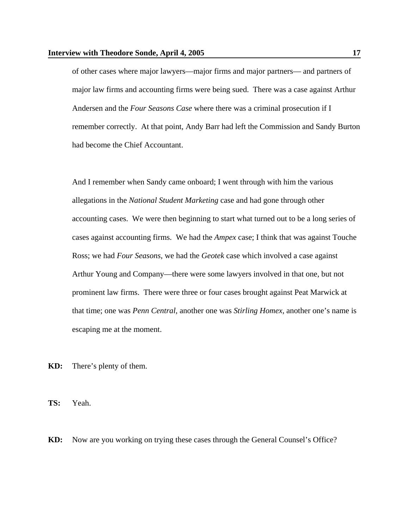of other cases where major lawyers—major firms and major partners— and partners of major law firms and accounting firms were being sued. There was a case against Arthur Andersen and the *Four Seasons Case* where there was a criminal prosecution if I remember correctly. At that point, Andy Barr had left the Commission and Sandy Burton had become the Chief Accountant.

 And I remember when Sandy came onboard; I went through with him the various allegations in the *National Student Marketing* case and had gone through other accounting cases. We were then beginning to start what turned out to be a long series of cases against accounting firms. We had the *Ampex* case; I think that was against Touche Ross; we had *Four Seasons*, we had the *Geotek* case which involved a case against Arthur Young and Company—there were some lawyers involved in that one, but not prominent law firms. There were three or four cases brought against Peat Marwick at that time; one was *Penn Central*, another one was *Stirling Homex*, another one's name is escaping me at the moment.

**KD:** There's plenty of them.

**TS:** Yeah.

**KD:** Now are you working on trying these cases through the General Counsel's Office?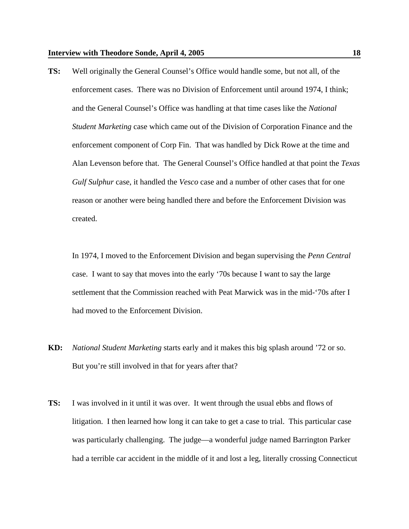**TS:** Well originally the General Counsel's Office would handle some, but not all, of the enforcement cases. There was no Division of Enforcement until around 1974, I think; and the General Counsel's Office was handling at that time cases like the *National Student Marketing* case which came out of the Division of Corporation Finance and the enforcement component of Corp Fin. That was handled by Dick Rowe at the time and Alan Levenson before that. The General Counsel's Office handled at that point the *Texas Gulf Sulphur* case, it handled the *Vesco* case and a number of other cases that for one reason or another were being handled there and before the Enforcement Division was created.

 In 1974, I moved to the Enforcement Division and began supervising the *Penn Central* case. I want to say that moves into the early '70s because I want to say the large settlement that the Commission reached with Peat Marwick was in the mid-'70s after I had moved to the Enforcement Division.

- **KD:** *National Student Marketing* starts early and it makes this big splash around '72 or so. But you're still involved in that for years after that?
- **TS:** I was involved in it until it was over. It went through the usual ebbs and flows of litigation. I then learned how long it can take to get a case to trial. This particular case was particularly challenging. The judge—a wonderful judge named Barrington Parker had a terrible car accident in the middle of it and lost a leg, literally crossing Connecticut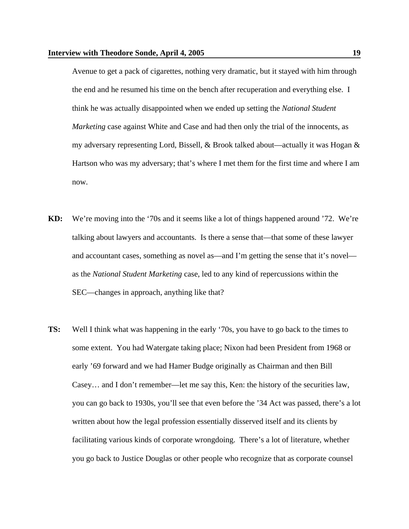Avenue to get a pack of cigarettes, nothing very dramatic, but it stayed with him through the end and he resumed his time on the bench after recuperation and everything else. I think he was actually disappointed when we ended up setting the *National Student Marketing* case against White and Case and had then only the trial of the innocents, as my adversary representing Lord, Bissell, & Brook talked about—actually it was Hogan & Hartson who was my adversary; that's where I met them for the first time and where I am now.

- **KD:** We're moving into the '70s and it seems like a lot of things happened around '72. We're talking about lawyers and accountants. Is there a sense that—that some of these lawyer and accountant cases, something as novel as—and I'm getting the sense that it's novel as the *National Student Marketing* case, led to any kind of repercussions within the SEC—changes in approach, anything like that?
- **TS:** Well I think what was happening in the early '70s, you have to go back to the times to some extent. You had Watergate taking place; Nixon had been President from 1968 or early '69 forward and we had Hamer Budge originally as Chairman and then Bill Casey… and I don't remember—let me say this, Ken: the history of the securities law, you can go back to 1930s, you'll see that even before the '34 Act was passed, there's a lot written about how the legal profession essentially disserved itself and its clients by facilitating various kinds of corporate wrongdoing. There's a lot of literature, whether you go back to Justice Douglas or other people who recognize that as corporate counsel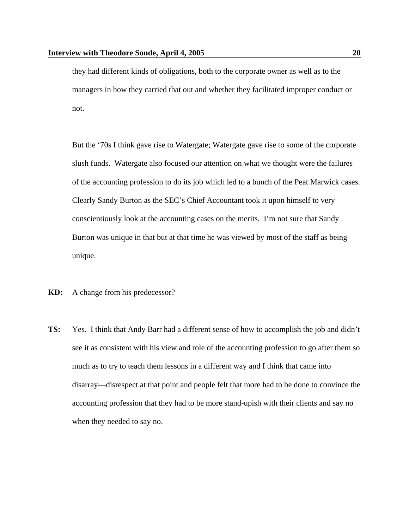they had different kinds of obligations, both to the corporate owner as well as to the managers in how they carried that out and whether they facilitated improper conduct or not.

 But the '70s I think gave rise to Watergate; Watergate gave rise to some of the corporate slush funds. Watergate also focused our attention on what we thought were the failures of the accounting profession to do its job which led to a bunch of the Peat Marwick cases. Clearly Sandy Burton as the SEC's Chief Accountant took it upon himself to very conscientiously look at the accounting cases on the merits. I'm not sure that Sandy Burton was unique in that but at that time he was viewed by most of the staff as being unique.

- **KD:** A change from his predecessor?
- **TS:** Yes. I think that Andy Barr had a different sense of how to accomplish the job and didn't see it as consistent with his view and role of the accounting profession to go after them so much as to try to teach them lessons in a different way and I think that came into disarray—disrespect at that point and people felt that more had to be done to convince the accounting profession that they had to be more stand-upish with their clients and say no when they needed to say no.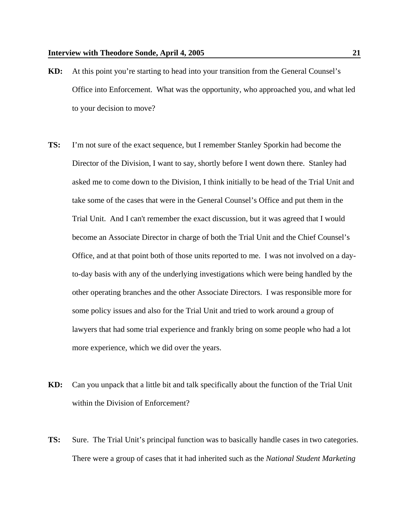- **KD:** At this point you're starting to head into your transition from the General Counsel's Office into Enforcement. What was the opportunity, who approached you, and what led to your decision to move?
- **TS:** I'm not sure of the exact sequence, but I remember Stanley Sporkin had become the Director of the Division, I want to say, shortly before I went down there. Stanley had asked me to come down to the Division, I think initially to be head of the Trial Unit and take some of the cases that were in the General Counsel's Office and put them in the Trial Unit. And I can't remember the exact discussion, but it was agreed that I would become an Associate Director in charge of both the Trial Unit and the Chief Counsel's Office, and at that point both of those units reported to me. I was not involved on a dayto-day basis with any of the underlying investigations which were being handled by the other operating branches and the other Associate Directors. I was responsible more for some policy issues and also for the Trial Unit and tried to work around a group of lawyers that had some trial experience and frankly bring on some people who had a lot more experience, which we did over the years.
- **KD:** Can you unpack that a little bit and talk specifically about the function of the Trial Unit within the Division of Enforcement?
- **TS:** Sure. The Trial Unit's principal function was to basically handle cases in two categories. There were a group of cases that it had inherited such as the *National Student Marketing*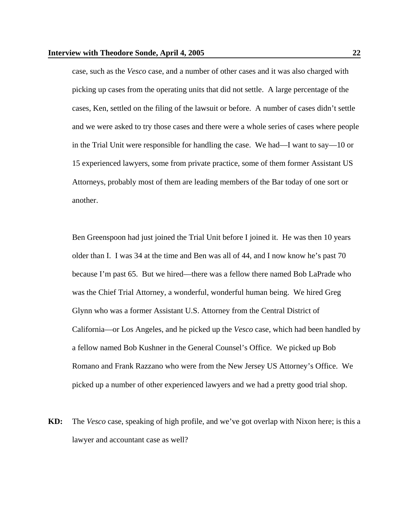case, such as the *Vesco* case, and a number of other cases and it was also charged with picking up cases from the operating units that did not settle. A large percentage of the cases, Ken, settled on the filing of the lawsuit or before. A number of cases didn't settle and we were asked to try those cases and there were a whole series of cases where people in the Trial Unit were responsible for handling the case. We had—I want to say—10 or 15 experienced lawyers, some from private practice, some of them former Assistant US Attorneys, probably most of them are leading members of the Bar today of one sort or another.

 Ben Greenspoon had just joined the Trial Unit before I joined it. He was then 10 years older than I. I was 34 at the time and Ben was all of 44, and I now know he's past 70 because I'm past 65. But we hired—there was a fellow there named Bob LaPrade who was the Chief Trial Attorney, a wonderful, wonderful human being. We hired Greg Glynn who was a former Assistant U.S. Attorney from the Central District of California—or Los Angeles, and he picked up the *Vesco* case, which had been handled by a fellow named Bob Kushner in the General Counsel's Office. We picked up Bob Romano and Frank Razzano who were from the New Jersey US Attorney's Office. We picked up a number of other experienced lawyers and we had a pretty good trial shop.

**KD:** The *Vesco* case, speaking of high profile, and we've got overlap with Nixon here; is this a lawyer and accountant case as well?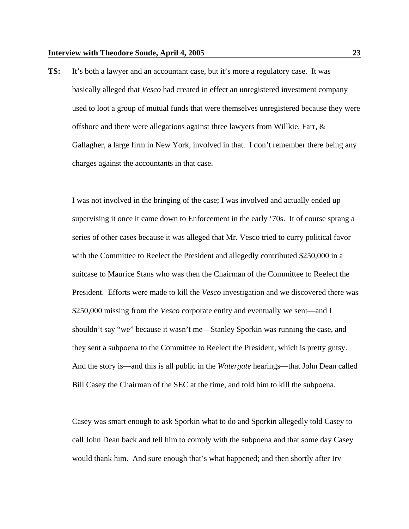**TS:** It's both a lawyer and an accountant case, but it's more a regulatory case. It was basically alleged that *Vesco* had created in effect an unregistered investment company used to loot a group of mutual funds that were themselves unregistered because they were offshore and there were allegations against three lawyers from Willkie, Farr,  $\&$ Gallagher, a large firm in New York, involved in that. I don't remember there being any charges against the accountants in that case.

 I was not involved in the bringing of the case; I was involved and actually ended up supervising it once it came down to Enforcement in the early '70s. It of course sprang a series of other cases because it was alleged that Mr. Vesco tried to curry political favor with the Committee to Reelect the President and allegedly contributed \$250,000 in a suitcase to Maurice Stans who was then the Chairman of the Committee to Reelect the President. Efforts were made to kill the *Vesco* investigation and we discovered there was \$250,000 missing from the *Vesco* corporate entity and eventually we sent—and I shouldn't say "we" because it wasn't me—Stanley Sporkin was running the case, and they sent a subpoena to the Committee to Reelect the President, which is pretty gutsy. And the story is—and this is all public in the *Watergate* hearings—that John Dean called Bill Casey the Chairman of the SEC at the time, and told him to kill the subpoena.

 Casey was smart enough to ask Sporkin what to do and Sporkin allegedly told Casey to call John Dean back and tell him to comply with the subpoena and that some day Casey would thank him. And sure enough that's what happened; and then shortly after Irv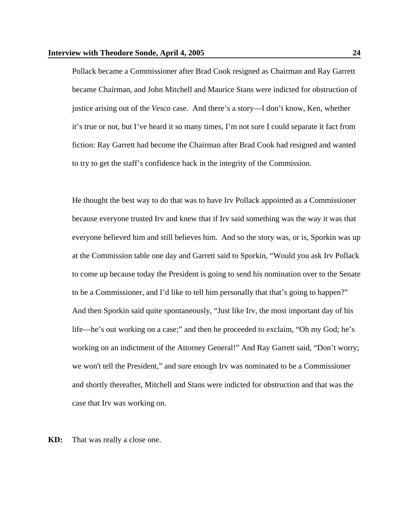Pollack became a Commissioner after Brad Cook resigned as Chairman and Ray Garrett became Chairman, and John Mitchell and Maurice Stans were indicted for obstruction of justice arising out of the *Vesco* case. And there's a story—I don't know, Ken, whether it's true or not, but I've heard it so many times, I'm not sure I could separate it fact from fiction: Ray Garrett had become the Chairman after Brad Cook had resigned and wanted to try to get the staff's confidence back in the integrity of the Commission.

 He thought the best way to do that was to have Irv Pollack appointed as a Commissioner because everyone trusted Irv and knew that if Irv said something was the way it was that everyone believed him and still believes him. And so the story was, or is, Sporkin was up at the Commission table one day and Garrett said to Sporkin, "Would you ask Irv Pollack to come up because today the President is going to send his nomination over to the Senate to be a Commissioner, and I'd like to tell him personally that that's going to happen?" And then Sporkin said quite spontaneously, "Just like Irv, the most important day of his life—he's out working on a case;" and then he proceeded to exclaim, "Oh my God; he's working on an indictment of the Attorney General!" And Ray Garrett said, "Don't worry; we won't tell the President," and sure enough Irv was nominated to be a Commissioner and shortly thereafter, Mitchell and Stans were indicted for obstruction and that was the case that Irv was working on.

**KD:** That was really a close one.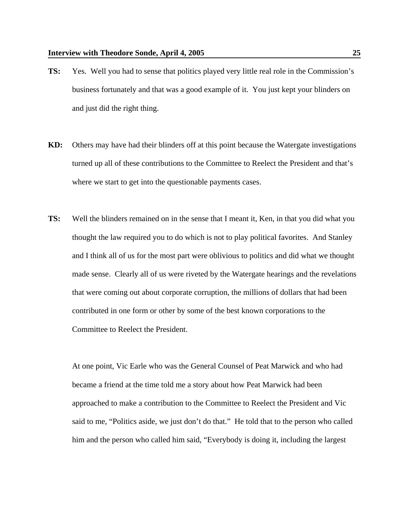- **TS:** Yes. Well you had to sense that politics played very little real role in the Commission's business fortunately and that was a good example of it. You just kept your blinders on and just did the right thing.
- **KD:** Others may have had their blinders off at this point because the Watergate investigations turned up all of these contributions to the Committee to Reelect the President and that's where we start to get into the questionable payments cases.
- **TS:** Well the blinders remained on in the sense that I meant it, Ken, in that you did what you thought the law required you to do which is not to play political favorites. And Stanley and I think all of us for the most part were oblivious to politics and did what we thought made sense. Clearly all of us were riveted by the Watergate hearings and the revelations that were coming out about corporate corruption, the millions of dollars that had been contributed in one form or other by some of the best known corporations to the Committee to Reelect the President.

 At one point, Vic Earle who was the General Counsel of Peat Marwick and who had became a friend at the time told me a story about how Peat Marwick had been approached to make a contribution to the Committee to Reelect the President and Vic said to me, "Politics aside, we just don't do that." He told that to the person who called him and the person who called him said, "Everybody is doing it, including the largest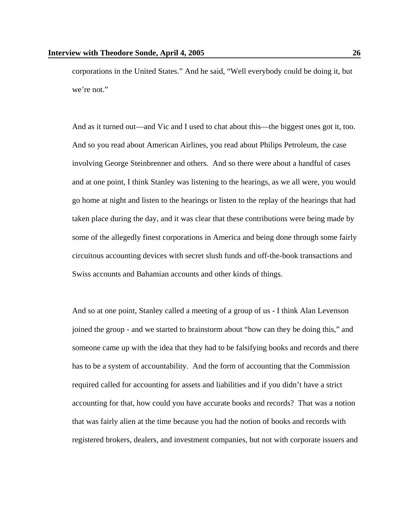corporations in the United States." And he said, "Well everybody could be doing it, but we're not."

 And as it turned out—and Vic and I used to chat about this—the biggest ones got it, too. And so you read about American Airlines, you read about Philips Petroleum, the case involving George Steinbrenner and others. And so there were about a handful of cases and at one point, I think Stanley was listening to the hearings, as we all were, you would go home at night and listen to the hearings or listen to the replay of the hearings that had taken place during the day, and it was clear that these contributions were being made by some of the allegedly finest corporations in America and being done through some fairly circuitous accounting devices with secret slush funds and off-the-book transactions and Swiss accounts and Bahamian accounts and other kinds of things.

 And so at one point, Stanley called a meeting of a group of us - I think Alan Levenson joined the group - and we started to brainstorm about "how can they be doing this," and someone came up with the idea that they had to be falsifying books and records and there has to be a system of accountability. And the form of accounting that the Commission required called for accounting for assets and liabilities and if you didn't have a strict accounting for that, how could you have accurate books and records? That was a notion that was fairly alien at the time because you had the notion of books and records with registered brokers, dealers, and investment companies, but not with corporate issuers and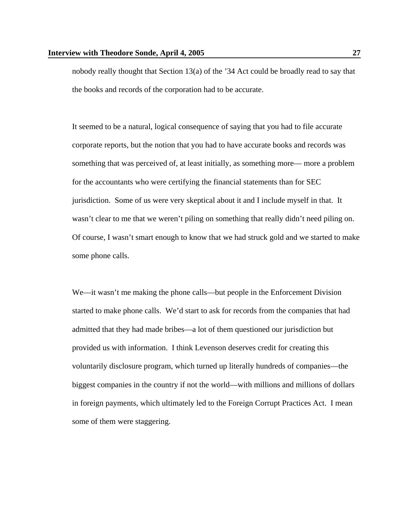nobody really thought that Section 13(a) of the '34 Act could be broadly read to say that the books and records of the corporation had to be accurate.

 It seemed to be a natural, logical consequence of saying that you had to file accurate corporate reports, but the notion that you had to have accurate books and records was something that was perceived of, at least initially, as something more— more a problem for the accountants who were certifying the financial statements than for SEC jurisdiction. Some of us were very skeptical about it and I include myself in that. It wasn't clear to me that we weren't piling on something that really didn't need piling on. Of course, I wasn't smart enough to know that we had struck gold and we started to make some phone calls.

 We—it wasn't me making the phone calls—but people in the Enforcement Division started to make phone calls. We'd start to ask for records from the companies that had admitted that they had made bribes—a lot of them questioned our jurisdiction but provided us with information. I think Levenson deserves credit for creating this voluntarily disclosure program, which turned up literally hundreds of companies—the biggest companies in the country if not the world—with millions and millions of dollars in foreign payments, which ultimately led to the Foreign Corrupt Practices Act. I mean some of them were staggering.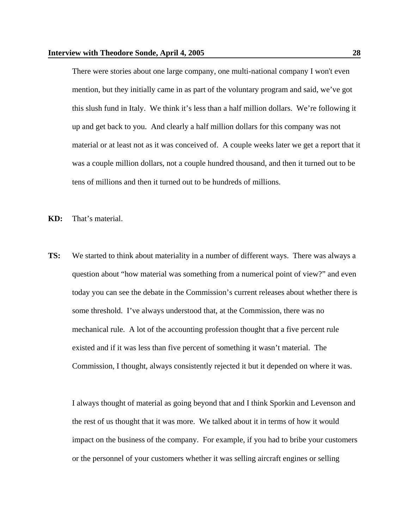There were stories about one large company, one multi-national company I won't even mention, but they initially came in as part of the voluntary program and said, we've got this slush fund in Italy. We think it's less than a half million dollars. We're following it up and get back to you. And clearly a half million dollars for this company was not material or at least not as it was conceived of. A couple weeks later we get a report that it was a couple million dollars, not a couple hundred thousand, and then it turned out to be tens of millions and then it turned out to be hundreds of millions.

- **KD:** That's material.
- **TS:** We started to think about materiality in a number of different ways. There was always a question about "how material was something from a numerical point of view?" and even today you can see the debate in the Commission's current releases about whether there is some threshold. I've always understood that, at the Commission, there was no mechanical rule. A lot of the accounting profession thought that a five percent rule existed and if it was less than five percent of something it wasn't material. The Commission, I thought, always consistently rejected it but it depended on where it was.

 I always thought of material as going beyond that and I think Sporkin and Levenson and the rest of us thought that it was more. We talked about it in terms of how it would impact on the business of the company. For example, if you had to bribe your customers or the personnel of your customers whether it was selling aircraft engines or selling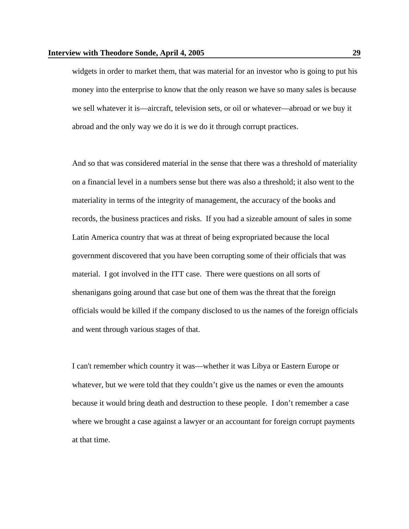widgets in order to market them, that was material for an investor who is going to put his money into the enterprise to know that the only reason we have so many sales is because we sell whatever it is—aircraft, television sets, or oil or whatever—abroad or we buy it abroad and the only way we do it is we do it through corrupt practices.

 And so that was considered material in the sense that there was a threshold of materiality on a financial level in a numbers sense but there was also a threshold; it also went to the materiality in terms of the integrity of management, the accuracy of the books and records, the business practices and risks. If you had a sizeable amount of sales in some Latin America country that was at threat of being expropriated because the local government discovered that you have been corrupting some of their officials that was material. I got involved in the ITT case. There were questions on all sorts of shenanigans going around that case but one of them was the threat that the foreign officials would be killed if the company disclosed to us the names of the foreign officials and went through various stages of that.

 I can't remember which country it was—whether it was Libya or Eastern Europe or whatever, but we were told that they couldn't give us the names or even the amounts because it would bring death and destruction to these people. I don't remember a case where we brought a case against a lawyer or an accountant for foreign corrupt payments at that time.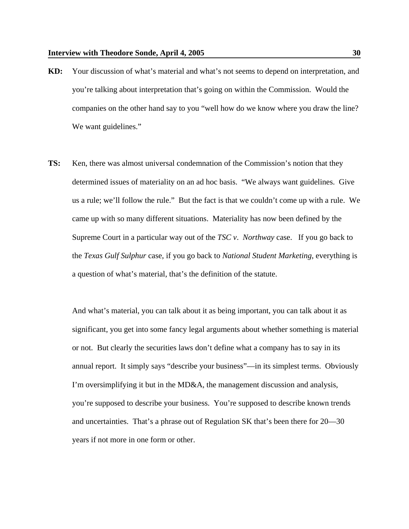- **KD:** Your discussion of what's material and what's not seems to depend on interpretation, and you're talking about interpretation that's going on within the Commission. Would the companies on the other hand say to you "well how do we know where you draw the line? We want guidelines."
- **TS:** Ken, there was almost universal condemnation of the Commission's notion that they determined issues of materiality on an ad hoc basis. "We always want guidelines. Give us a rule; we'll follow the rule." But the fact is that we couldn't come up with a rule. We came up with so many different situations. Materiality has now been defined by the Supreme Court in a particular way out of the *TSC v*. *Northway* case. If you go back to the *Texas Gulf Sulphur* case, if you go back to *National Student Marketing*, everything is a question of what's material, that's the definition of the statute.

 And what's material, you can talk about it as being important, you can talk about it as significant, you get into some fancy legal arguments about whether something is material or not. But clearly the securities laws don't define what a company has to say in its annual report. It simply says "describe your business"—in its simplest terms. Obviously I'm oversimplifying it but in the MD&A, the management discussion and analysis, you're supposed to describe your business. You're supposed to describe known trends and uncertainties. That's a phrase out of Regulation SK that's been there for 20—30 years if not more in one form or other.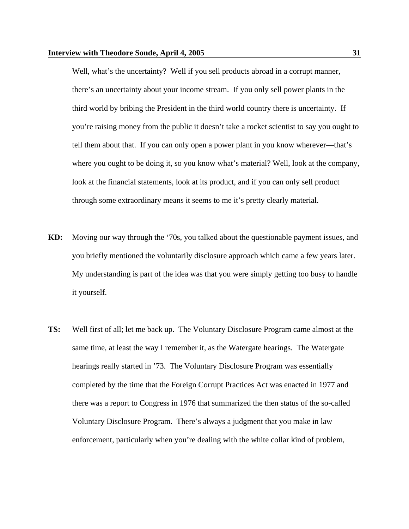Well, what's the uncertainty? Well if you sell products abroad in a corrupt manner, there's an uncertainty about your income stream. If you only sell power plants in the third world by bribing the President in the third world country there is uncertainty. If you're raising money from the public it doesn't take a rocket scientist to say you ought to tell them about that. If you can only open a power plant in you know wherever—that's where you ought to be doing it, so you know what's material? Well, look at the company, look at the financial statements, look at its product, and if you can only sell product through some extraordinary means it seems to me it's pretty clearly material.

- **KD:** Moving our way through the '70s, you talked about the questionable payment issues, and you briefly mentioned the voluntarily disclosure approach which came a few years later. My understanding is part of the idea was that you were simply getting too busy to handle it yourself.
- **TS:** Well first of all; let me back up. The Voluntary Disclosure Program came almost at the same time, at least the way I remember it, as the Watergate hearings. The Watergate hearings really started in '73. The Voluntary Disclosure Program was essentially completed by the time that the Foreign Corrupt Practices Act was enacted in 1977 and there was a report to Congress in 1976 that summarized the then status of the so-called Voluntary Disclosure Program. There's always a judgment that you make in law enforcement, particularly when you're dealing with the white collar kind of problem,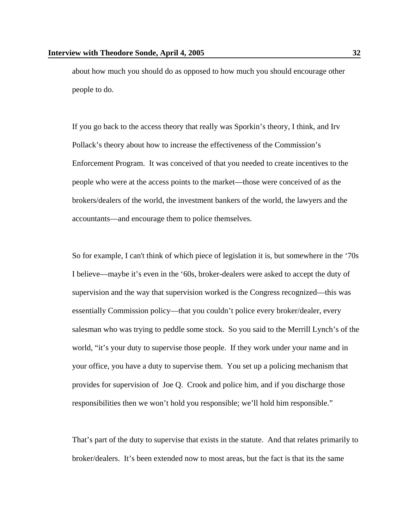about how much you should do as opposed to how much you should encourage other people to do.

 If you go back to the access theory that really was Sporkin's theory, I think, and Irv Pollack's theory about how to increase the effectiveness of the Commission's Enforcement Program. It was conceived of that you needed to create incentives to the people who were at the access points to the market—those were conceived of as the brokers/dealers of the world, the investment bankers of the world, the lawyers and the accountants—and encourage them to police themselves.

 So for example, I can't think of which piece of legislation it is, but somewhere in the '70s I believe—maybe it's even in the '60s, broker-dealers were asked to accept the duty of supervision and the way that supervision worked is the Congress recognized—this was essentially Commission policy—that you couldn't police every broker/dealer, every salesman who was trying to peddle some stock. So you said to the Merrill Lynch's of the world, "it's your duty to supervise those people. If they work under your name and in your office, you have a duty to supervise them. You set up a policing mechanism that provides for supervision of Joe Q. Crook and police him, and if you discharge those responsibilities then we won't hold you responsible; we'll hold him responsible."

 That's part of the duty to supervise that exists in the statute. And that relates primarily to broker/dealers. It's been extended now to most areas, but the fact is that its the same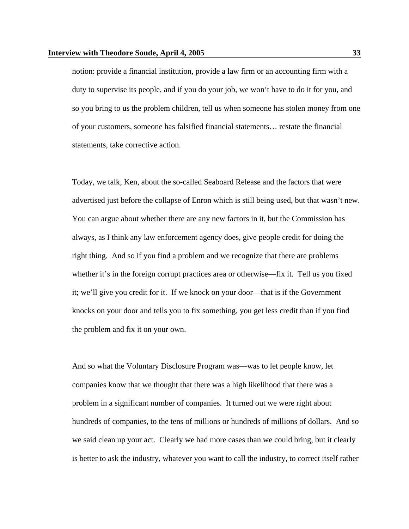notion: provide a financial institution, provide a law firm or an accounting firm with a duty to supervise its people, and if you do your job, we won't have to do it for you, and so you bring to us the problem children, tell us when someone has stolen money from one of your customers, someone has falsified financial statements… restate the financial statements, take corrective action.

 Today, we talk, Ken, about the so-called Seaboard Release and the factors that were advertised just before the collapse of Enron which is still being used, but that wasn't new. You can argue about whether there are any new factors in it, but the Commission has always, as I think any law enforcement agency does, give people credit for doing the right thing. And so if you find a problem and we recognize that there are problems whether it's in the foreign corrupt practices area or otherwise—fix it. Tell us you fixed it; we'll give you credit for it. If we knock on your door—that is if the Government knocks on your door and tells you to fix something, you get less credit than if you find the problem and fix it on your own.

 And so what the Voluntary Disclosure Program was—was to let people know, let companies know that we thought that there was a high likelihood that there was a problem in a significant number of companies. It turned out we were right about hundreds of companies, to the tens of millions or hundreds of millions of dollars. And so we said clean up your act. Clearly we had more cases than we could bring, but it clearly is better to ask the industry, whatever you want to call the industry, to correct itself rather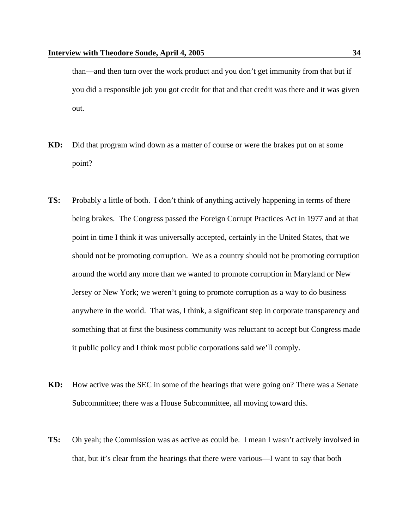than—and then turn over the work product and you don't get immunity from that but if you did a responsible job you got credit for that and that credit was there and it was given out.

- **KD:** Did that program wind down as a matter of course or were the brakes put on at some point?
- **TS:** Probably a little of both. I don't think of anything actively happening in terms of there being brakes. The Congress passed the Foreign Corrupt Practices Act in 1977 and at that point in time I think it was universally accepted, certainly in the United States, that we should not be promoting corruption. We as a country should not be promoting corruption around the world any more than we wanted to promote corruption in Maryland or New Jersey or New York; we weren't going to promote corruption as a way to do business anywhere in the world. That was, I think, a significant step in corporate transparency and something that at first the business community was reluctant to accept but Congress made it public policy and I think most public corporations said we'll comply.
- **KD:** How active was the SEC in some of the hearings that were going on? There was a Senate Subcommittee; there was a House Subcommittee, all moving toward this.
- **TS:** Oh yeah; the Commission was as active as could be. I mean I wasn't actively involved in that, but it's clear from the hearings that there were various—I want to say that both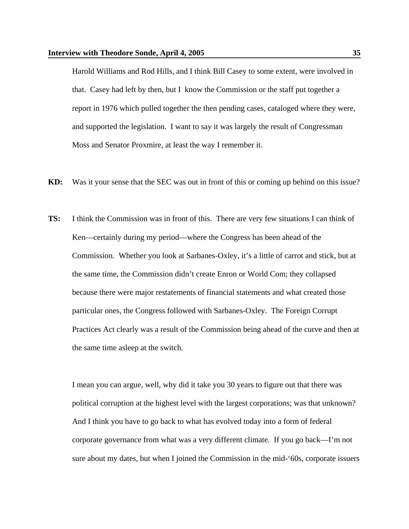Harold Williams and Rod Hills, and I think Bill Casey to some extent, were involved in that. Casey had left by then, but I know the Commission or the staff put together a report in 1976 which pulled together the then pending cases, cataloged where they were, and supported the legislation. I want to say it was largely the result of Congressman Moss and Senator Proxmire, at least the way I remember it.

- **KD:** Was it your sense that the SEC was out in front of this or coming up behind on this issue?
- **TS:** I think the Commission was in front of this. There are very few situations I can think of Ken—certainly during my period—where the Congress has been ahead of the Commission. Whether you look at Sarbanes-Oxley, it's a little of carrot and stick, but at the same time, the Commission didn't create Enron or World Com; they collapsed because there were major restatements of financial statements and what created those particular ones, the Congress followed with Sarbanes-Oxley. The Foreign Corrupt Practices Act clearly was a result of the Commission being ahead of the curve and then at the same time asleep at the switch.

 I mean you can argue, well, why did it take you 30 years to figure out that there was political corruption at the highest level with the largest corporations; was that unknown? And I think you have to go back to what has evolved today into a form of federal corporate governance from what was a very different climate. If you go back—I'm not sure about my dates, but when I joined the Commission in the mid-'60s, corporate issuers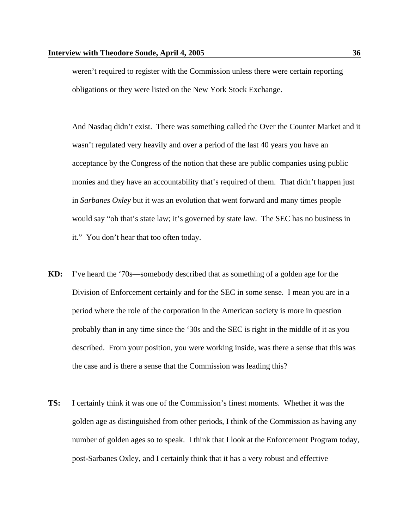weren't required to register with the Commission unless there were certain reporting obligations or they were listed on the New York Stock Exchange.

 And Nasdaq didn't exist. There was something called the Over the Counter Market and it wasn't regulated very heavily and over a period of the last 40 years you have an acceptance by the Congress of the notion that these are public companies using public monies and they have an accountability that's required of them. That didn't happen just in *Sarbanes Oxley* but it was an evolution that went forward and many times people would say "oh that's state law; it's governed by state law. The SEC has no business in it." You don't hear that too often today.

- **KD:** I've heard the '70s—somebody described that as something of a golden age for the Division of Enforcement certainly and for the SEC in some sense. I mean you are in a period where the role of the corporation in the American society is more in question probably than in any time since the '30s and the SEC is right in the middle of it as you described. From your position, you were working inside, was there a sense that this was the case and is there a sense that the Commission was leading this?
- **TS:** I certainly think it was one of the Commission's finest moments. Whether it was the golden age as distinguished from other periods, I think of the Commission as having any number of golden ages so to speak. I think that I look at the Enforcement Program today, post-Sarbanes Oxley, and I certainly think that it has a very robust and effective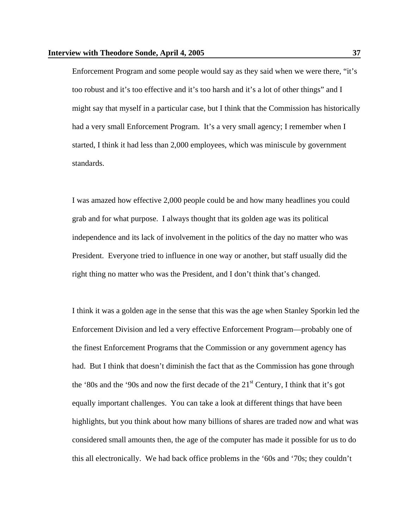Enforcement Program and some people would say as they said when we were there, "it's too robust and it's too effective and it's too harsh and it's a lot of other things" and I might say that myself in a particular case, but I think that the Commission has historically had a very small Enforcement Program. It's a very small agency; I remember when I started, I think it had less than 2,000 employees, which was miniscule by government standards.

 I was amazed how effective 2,000 people could be and how many headlines you could grab and for what purpose. I always thought that its golden age was its political independence and its lack of involvement in the politics of the day no matter who was President. Everyone tried to influence in one way or another, but staff usually did the right thing no matter who was the President, and I don't think that's changed.

 I think it was a golden age in the sense that this was the age when Stanley Sporkin led the Enforcement Division and led a very effective Enforcement Program—probably one of the finest Enforcement Programs that the Commission or any government agency has had. But I think that doesn't diminish the fact that as the Commission has gone through the '80s and the '90s and now the first decade of the  $21<sup>st</sup>$  Century, I think that it's got equally important challenges. You can take a look at different things that have been highlights, but you think about how many billions of shares are traded now and what was considered small amounts then, the age of the computer has made it possible for us to do this all electronically. We had back office problems in the '60s and '70s; they couldn't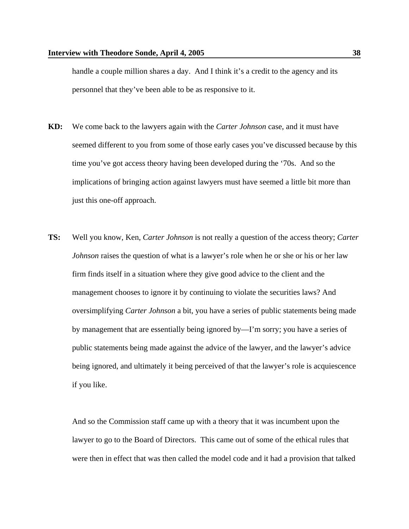handle a couple million shares a day. And I think it's a credit to the agency and its personnel that they've been able to be as responsive to it.

- **KD:** We come back to the lawyers again with the *Carter Johnson* case, and it must have seemed different to you from some of those early cases you've discussed because by this time you've got access theory having been developed during the '70s. And so the implications of bringing action against lawyers must have seemed a little bit more than just this one-off approach.
- **TS:** Well you know, Ken, *Carter Johnson* is not really a question of the access theory; *Carter Johnson* raises the question of what is a lawyer's role when he or she or his or her law firm finds itself in a situation where they give good advice to the client and the management chooses to ignore it by continuing to violate the securities laws? And oversimplifying *Carter Johnson* a bit, you have a series of public statements being made by management that are essentially being ignored by—I'm sorry; you have a series of public statements being made against the advice of the lawyer, and the lawyer's advice being ignored, and ultimately it being perceived of that the lawyer's role is acquiescence if you like.

 And so the Commission staff came up with a theory that it was incumbent upon the lawyer to go to the Board of Directors. This came out of some of the ethical rules that were then in effect that was then called the model code and it had a provision that talked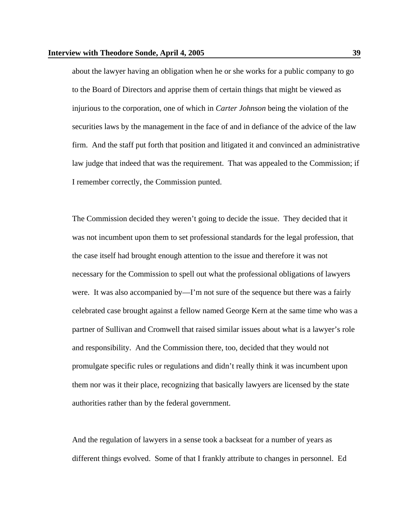about the lawyer having an obligation when he or she works for a public company to go to the Board of Directors and apprise them of certain things that might be viewed as injurious to the corporation, one of which in *Carter Johnson* being the violation of the securities laws by the management in the face of and in defiance of the advice of the law firm. And the staff put forth that position and litigated it and convinced an administrative law judge that indeed that was the requirement. That was appealed to the Commission; if I remember correctly, the Commission punted.

 The Commission decided they weren't going to decide the issue. They decided that it was not incumbent upon them to set professional standards for the legal profession, that the case itself had brought enough attention to the issue and therefore it was not necessary for the Commission to spell out what the professional obligations of lawyers were. It was also accompanied by—I'm not sure of the sequence but there was a fairly celebrated case brought against a fellow named George Kern at the same time who was a partner of Sullivan and Cromwell that raised similar issues about what is a lawyer's role and responsibility. And the Commission there, too, decided that they would not promulgate specific rules or regulations and didn't really think it was incumbent upon them nor was it their place, recognizing that basically lawyers are licensed by the state authorities rather than by the federal government.

 And the regulation of lawyers in a sense took a backseat for a number of years as different things evolved. Some of that I frankly attribute to changes in personnel. Ed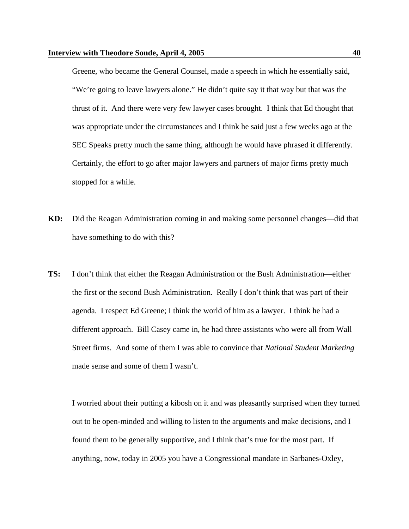Greene, who became the General Counsel, made a speech in which he essentially said, "We're going to leave lawyers alone." He didn't quite say it that way but that was the thrust of it. And there were very few lawyer cases brought. I think that Ed thought that was appropriate under the circumstances and I think he said just a few weeks ago at the SEC Speaks pretty much the same thing, although he would have phrased it differently. Certainly, the effort to go after major lawyers and partners of major firms pretty much stopped for a while.

- **KD:** Did the Reagan Administration coming in and making some personnel changes—did that have something to do with this?
- **TS:** I don't think that either the Reagan Administration or the Bush Administration—either the first or the second Bush Administration. Really I don't think that was part of their agenda. I respect Ed Greene; I think the world of him as a lawyer. I think he had a different approach. Bill Casey came in, he had three assistants who were all from Wall Street firms. And some of them I was able to convince that *National Student Marketing* made sense and some of them I wasn't.

 I worried about their putting a kibosh on it and was pleasantly surprised when they turned out to be open-minded and willing to listen to the arguments and make decisions, and I found them to be generally supportive, and I think that's true for the most part. If anything, now, today in 2005 you have a Congressional mandate in Sarbanes-Oxley,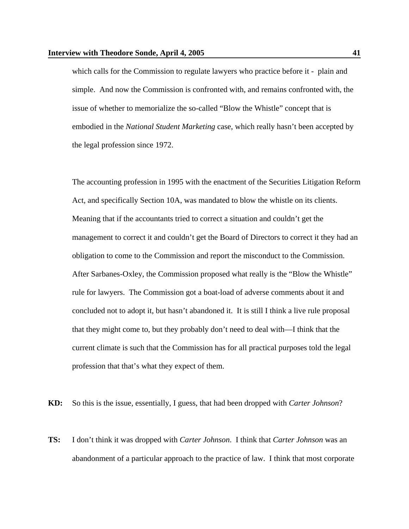which calls for the Commission to regulate lawyers who practice before it - plain and simple. And now the Commission is confronted with, and remains confronted with, the issue of whether to memorialize the so-called "Blow the Whistle" concept that is embodied in the *National Student Marketing* case, which really hasn't been accepted by the legal profession since 1972.

 The accounting profession in 1995 with the enactment of the Securities Litigation Reform Act, and specifically Section 10A, was mandated to blow the whistle on its clients. Meaning that if the accountants tried to correct a situation and couldn't get the management to correct it and couldn't get the Board of Directors to correct it they had an obligation to come to the Commission and report the misconduct to the Commission. After Sarbanes-Oxley, the Commission proposed what really is the "Blow the Whistle" rule for lawyers. The Commission got a boat-load of adverse comments about it and concluded not to adopt it, but hasn't abandoned it. It is still I think a live rule proposal that they might come to, but they probably don't need to deal with—I think that the current climate is such that the Commission has for all practical purposes told the legal profession that that's what they expect of them.

**KD:** So this is the issue, essentially, I guess, that had been dropped with *Carter Johnson*?

**TS:** I don't think it was dropped with *Carter Johnson*. I think that *Carter Johnson* was an abandonment of a particular approach to the practice of law. I think that most corporate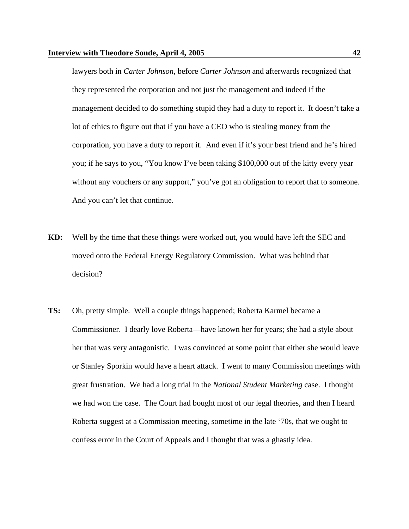lawyers both in *Carter Johnson*, before *Carter Johnson* and afterwards recognized that they represented the corporation and not just the management and indeed if the management decided to do something stupid they had a duty to report it. It doesn't take a lot of ethics to figure out that if you have a CEO who is stealing money from the corporation, you have a duty to report it. And even if it's your best friend and he's hired you; if he says to you, "You know I've been taking \$100,000 out of the kitty every year without any vouchers or any support," you've got an obligation to report that to someone. And you can't let that continue.

- **KD:** Well by the time that these things were worked out, you would have left the SEC and moved onto the Federal Energy Regulatory Commission. What was behind that decision?
- **TS:** Oh, pretty simple. Well a couple things happened; Roberta Karmel became a Commissioner. I dearly love Roberta—have known her for years; she had a style about her that was very antagonistic. I was convinced at some point that either she would leave or Stanley Sporkin would have a heart attack. I went to many Commission meetings with great frustration. We had a long trial in the *National Student Marketing* case. I thought we had won the case. The Court had bought most of our legal theories, and then I heard Roberta suggest at a Commission meeting, sometime in the late '70s, that we ought to confess error in the Court of Appeals and I thought that was a ghastly idea.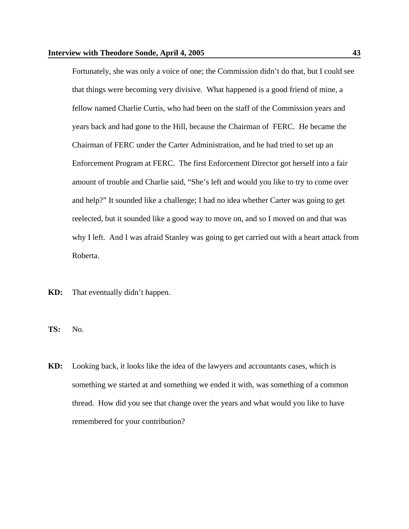Fortunately, she was only a voice of one; the Commission didn't do that, but I could see that things were becoming very divisive. What happened is a good friend of mine, a fellow named Charlie Curtis, who had been on the staff of the Commission years and years back and had gone to the Hill, because the Chairman of FERC. He became the Chairman of FERC under the Carter Administration, and he had tried to set up an Enforcement Program at FERC. The first Enforcement Director got herself into a fair amount of trouble and Charlie said, "She's left and would you like to try to come over and help?" It sounded like a challenge; I had no idea whether Carter was going to get reelected, but it sounded like a good way to move on, and so I moved on and that was why I left. And I was afraid Stanley was going to get carried out with a heart attack from Roberta.

- **KD:** That eventually didn't happen.
- **TS:** No.
- **KD:** Looking back, it looks like the idea of the lawyers and accountants cases, which is something we started at and something we ended it with, was something of a common thread. How did you see that change over the years and what would you like to have remembered for your contribution?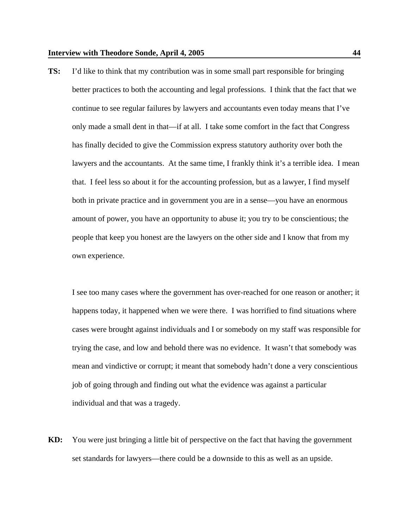**TS:** I'd like to think that my contribution was in some small part responsible for bringing better practices to both the accounting and legal professions. I think that the fact that we continue to see regular failures by lawyers and accountants even today means that I've only made a small dent in that—if at all. I take some comfort in the fact that Congress has finally decided to give the Commission express statutory authority over both the lawyers and the accountants. At the same time, I frankly think it's a terrible idea. I mean that. I feel less so about it for the accounting profession, but as a lawyer, I find myself both in private practice and in government you are in a sense—you have an enormous amount of power, you have an opportunity to abuse it; you try to be conscientious; the people that keep you honest are the lawyers on the other side and I know that from my own experience.

 I see too many cases where the government has over-reached for one reason or another; it happens today, it happened when we were there. I was horrified to find situations where cases were brought against individuals and I or somebody on my staff was responsible for trying the case, and low and behold there was no evidence. It wasn't that somebody was mean and vindictive or corrupt; it meant that somebody hadn't done a very conscientious job of going through and finding out what the evidence was against a particular individual and that was a tragedy.

**KD:** You were just bringing a little bit of perspective on the fact that having the government set standards for lawyers—there could be a downside to this as well as an upside.